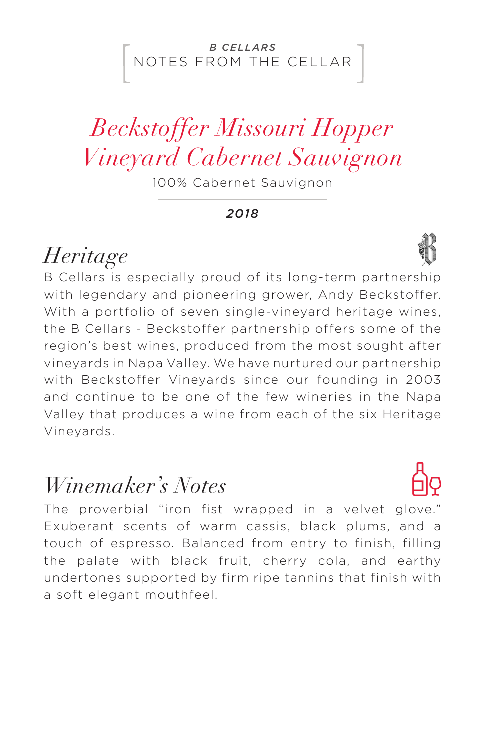#### NOTES FROM THE CELLAR *B CELLARS*

# *Beckstoffer Missouri Hopper Vineyard Cabernet Sauvignon*

100% Cabernet Sauvignon

*2018*

### *Heritage*

B Cellars is especially proud of its long-term partnership with legendary and pioneering grower, Andy Beckstoffer. With a portfolio of seven single-vineyard heritage wines, the B Cellars - Beckstoffer partnership offers some of the region's best wines, produced from the most sought after vineyards in Napa Valley. We have nurtured our partnership with Beckstoffer Vineyards since our founding in 2003 and continue to be one of the few wineries in the Napa Valley that produces a wine from each of the six Heritage Vineyards.

### *Winemaker's Notes*

The proverbial "iron fist wrapped in a velvet glove." Exuberant scents of warm cassis, black plums, and a touch of espresso. Balanced from entry to finish, filling the palate with black fruit, cherry cola, and earthy undertones supported by firm ripe tannins that finish with a soft elegant mouthfeel.